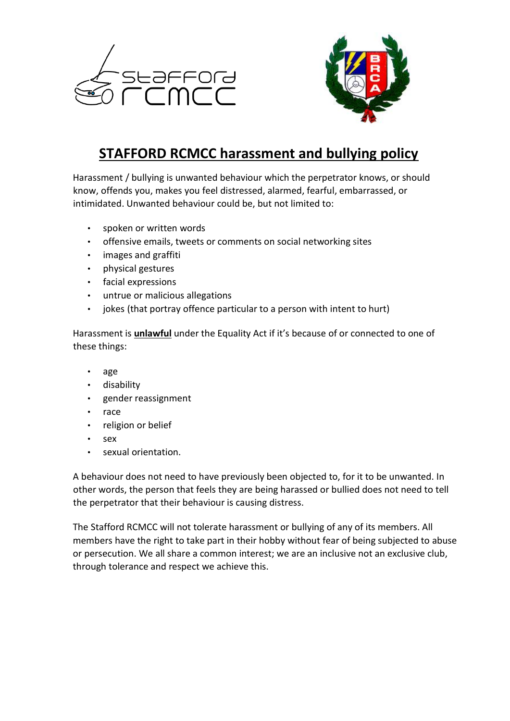



## **STAFFORD RCMCC harassment and bullying policy**

Harassment / bullying is unwanted behaviour which the perpetrator knows, or should know, offends you, makes you feel distressed, alarmed, fearful, embarrassed, or intimidated. Unwanted behaviour could be, but not limited to:

- spoken or written words
- offensive emails, tweets or comments on social networking sites
- images and graffiti
- physical gestures
- facial expressions
- untrue or malicious allegations
- jokes (that portray offence particular to a person with intent to hurt)

Harassment is **unlawful** under the Equality Act if it's because of or connected to one of these things:

- age
- disability
- gender reassignment
- race
- religion or belief
- sex
- sexual orientation.

A behaviour does not need to have previously been objected to, for it to be unwanted. In other words, the person that feels they are being harassed or bullied does not need to tell the perpetrator that their behaviour is causing distress.

The Stafford RCMCC will not tolerate harassment or bullying of any of its members. All members have the right to take part in their hobby without fear of being subjected to abuse or persecution. We all share a common interest; we are an inclusive not an exclusive club, through tolerance and respect we achieve this.